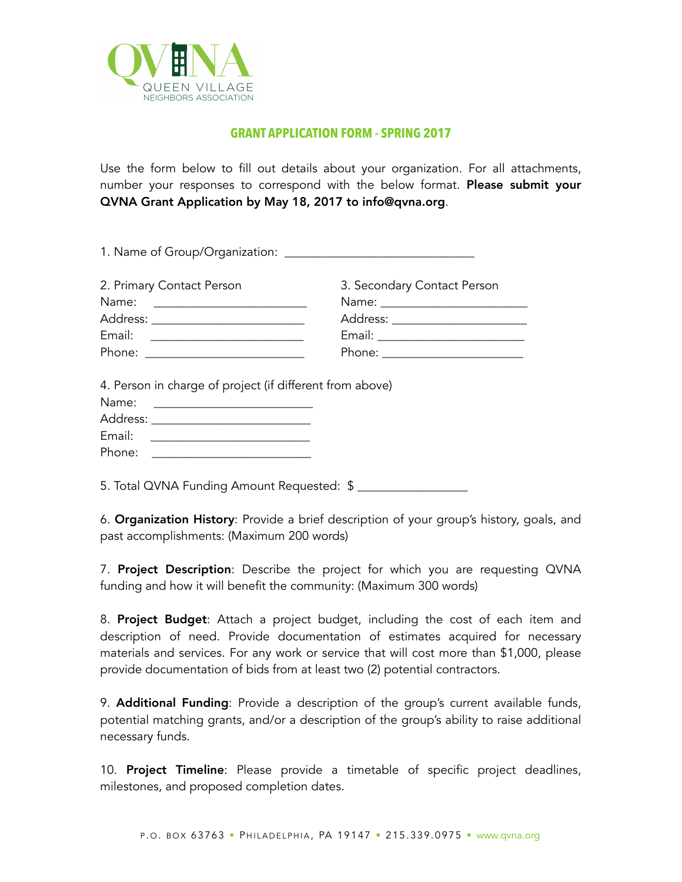

## **GRANT APPLICATION FORM - SPRING 2017**

Use the form below to fill out details about your organization. For all attachments, number your responses to correspond with the below format. Please submit your QVNA Grant Application by May 18, 2017 to info@qvna.org.

| 2. Primary Contact Person                                                                                                                             | 3. Secondary Contact Person     |
|-------------------------------------------------------------------------------------------------------------------------------------------------------|---------------------------------|
| Name: __________________________                                                                                                                      |                                 |
| Address: ____________________________                                                                                                                 | Address: ______________________ |
| Email: ___________________________                                                                                                                    |                                 |
|                                                                                                                                                       |                                 |
| Phone: ___________________________<br>4. Person in charge of project (if different from above)                                                        | Phone: ________________________ |
| Name: __________________________<br>Address: _____________________________<br>Email: ____________________________<br>Phone: _________________________ |                                 |

6. Organization History: Provide a brief description of your group's history, goals, and past accomplishments: (Maximum 200 words)

7. Project Description: Describe the project for which you are requesting QVNA funding and how it will benefit the community: (Maximum 300 words)

8. Project Budget: Attach a project budget, including the cost of each item and description of need. Provide documentation of estimates acquired for necessary materials and services. For any work or service that will cost more than \$1,000, please provide documentation of bids from at least two (2) potential contractors.

9. **Additional Funding**: Provide a description of the group's current available funds, potential matching grants, and/or a description of the group's ability to raise additional necessary funds.

10. **Project Timeline**: Please provide a timetable of specific project deadlines, milestones, and proposed completion dates.